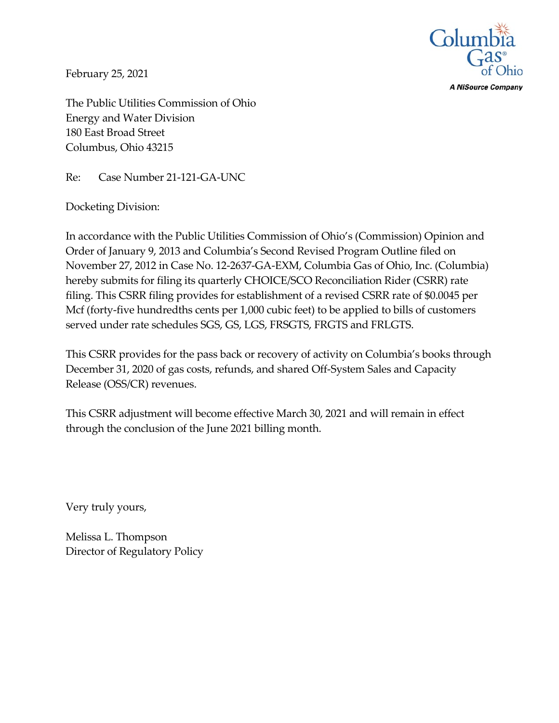

**A NiSource Company** 

February 25, 2021

The Public Utilities Commission of Ohio Energy and Water Division 180 East Broad Street Columbus, Ohio 43215

Re: Case Number 21-121-GA-UNC

Docketing Division:

In accordance with the Public Utilities Commission of Ohio's (Commission) Opinion and Order of January 9, 2013 and Columbia's Second Revised Program Outline filed on November 27, 2012 in Case No. 12-2637-GA-EXM, Columbia Gas of Ohio, Inc. (Columbia) hereby submits for filing its quarterly CHOICE/SCO Reconciliation Rider (CSRR) rate filing. This CSRR filing provides for establishment of a revised CSRR rate of \$0.0045 per Mcf (forty-five hundredths cents per 1,000 cubic feet) to be applied to bills of customers served under rate schedules SGS, GS, LGS, FRSGTS, FRGTS and FRLGTS.

This CSRR provides for the pass back or recovery of activity on Columbia's books through December 31, 2020 of gas costs, refunds, and shared Off-System Sales and Capacity Release (OSS/CR) revenues.

This CSRR adjustment will become effective March 30, 2021 and will remain in effect through the conclusion of the June 2021 billing month.

Very truly yours,

Melissa L. Thompson Director of Regulatory Policy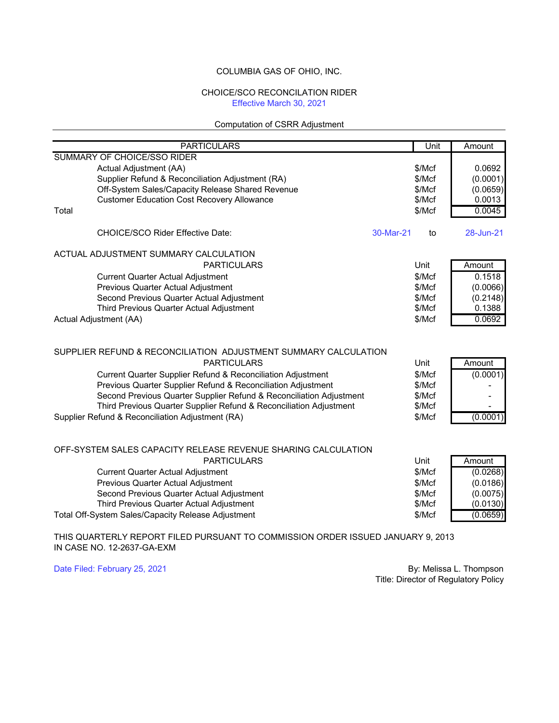## COLUMBIA GAS OF OHIO, INC.

## CHOICE/SCO RECONCILATION RIDER Effective March 30, 2021

## Computation of CSRR Adjustment

| <b>PARTICULARS</b>                                                  | Unit            | Amount    |
|---------------------------------------------------------------------|-----------------|-----------|
| SUMMARY OF CHOICE/SSO RIDER                                         |                 |           |
| Actual Adjustment (AA)                                              | MCF             | 0.0692    |
| Supplier Refund & Reconciliation Adjustment (RA)                    | \$/Mcf          | (0.0001)  |
| Off-System Sales/Capacity Release Shared Revenue                    | \$/Mcf          | (0.0659)  |
| <b>Customer Education Cost Recovery Allowance</b>                   | \$/Mcf          | 0.0013    |
| Total                                                               | \$/Mcf          | 0.0045    |
| CHOICE/SCO Rider Effective Date:                                    | 30-Mar-21<br>to | 28-Jun-21 |
| ACTUAL ADJUSTMENT SUMMARY CALCULATION                               |                 |           |
| <b>PARTICULARS</b>                                                  | Unit            | Amount    |
| <b>Current Quarter Actual Adjustment</b>                            | \$/Mcf          | 0.1518    |
| Previous Quarter Actual Adjustment                                  | \$/Mcf          | (0.0066)  |
| Second Previous Quarter Actual Adjustment                           | \$/Mcf          | (0.2148)  |
| Third Previous Quarter Actual Adjustment                            | \$/Mcf          | 0.1388    |
| Actual Adjustment (AA)                                              | \$/Mcf          | 0.0692    |
| SUPPLIER REFUND & RECONCILIATION ADJUSTMENT SUMMARY CALCULATION     |                 |           |
| <b>PARTICULARS</b>                                                  | Unit            | Amount    |
| Current Quarter Supplier Refund & Reconciliation Adjustment         | \$/Mcf          | (0.0001)  |
| Previous Quarter Supplier Refund & Reconciliation Adjustment        | \$/Mcf          |           |
| Second Previous Quarter Supplier Refund & Reconciliation Adjustment | \$/Mcf          |           |
| Third Previous Quarter Supplier Refund & Reconciliation Adjustment  | \$/Mcf          |           |
| Supplier Refund & Reconciliation Adjustment (RA)                    | \$/Mcf          | (0.0001)  |
| OFF-SYSTEM SALES CAPACITY RELEASE REVENUE SHARING CALCULATION       |                 |           |
| <b>PARTICULARS</b>                                                  | Unit            | Amount    |
| <b>Current Quarter Actual Adjustment</b>                            | \$/Mcf          | (0.0268)  |
| Previous Quarter Actual Adjustment                                  | \$/Mcf          | (0.0186)  |
| Second Previous Quarter Actual Adjustment                           | \$/Mcf          | (0.0075)  |
| Third Previous Quarter Actual Adjustment                            | \$/Mcf          | (0.0130)  |
| Total Off-System Sales/Capacity Release Adjustment                  | \$/Mcf          | (0.0659)  |
|                                                                     |                 |           |

THIS QUARTERLY REPORT FILED PURSUANT TO COMMISSION ORDER ISSUED JANUARY 9, 2013 IN CASE NO. 12-2637-GA-EXM

Date Filed: February 25, 2021 **By: Melissa L. Thompson** Title: Director of Regulatory Policy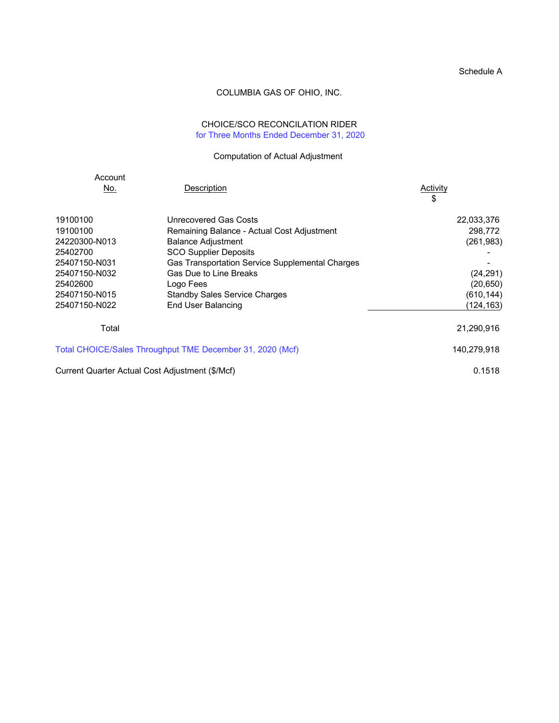## Schedule A

## COLUMBIA GAS OF OHIO, INC.

# CHOICE/SCO RECONCILATION RIDER for Three Months Ended December 31, 2020

## Computation of Actual Adjustment

| Account                   |                                                                         |                       |
|---------------------------|-------------------------------------------------------------------------|-----------------------|
| No.                       | Description                                                             | Activity<br>\$        |
| 19100100                  | Unrecovered Gas Costs                                                   | 22,033,376            |
| 19100100<br>24220300-N013 | Remaining Balance - Actual Cost Adjustment<br><b>Balance Adjustment</b> | 298,772<br>(261, 983) |
| 25402700                  | <b>SCO Supplier Deposits</b>                                            |                       |
| 25407150-N031             | Gas Transportation Service Supplemental Charges                         |                       |
| 25407150-N032             | Gas Due to Line Breaks                                                  | (24, 291)             |
| 25402600                  | Logo Fees                                                               | (20, 650)             |
| 25407150-N015             | <b>Standby Sales Service Charges</b>                                    | (610, 144)            |
| 25407150-N022             | End User Balancing                                                      | (124,163)             |
| Total                     |                                                                         | 21,290,916            |
|                           | Total CHOICE/Sales Throughput TME December 31, 2020 (Mcf)               | 140,279,918           |
|                           | Current Quarter Actual Cost Adjustment (\$/Mcf)                         | 0.1518                |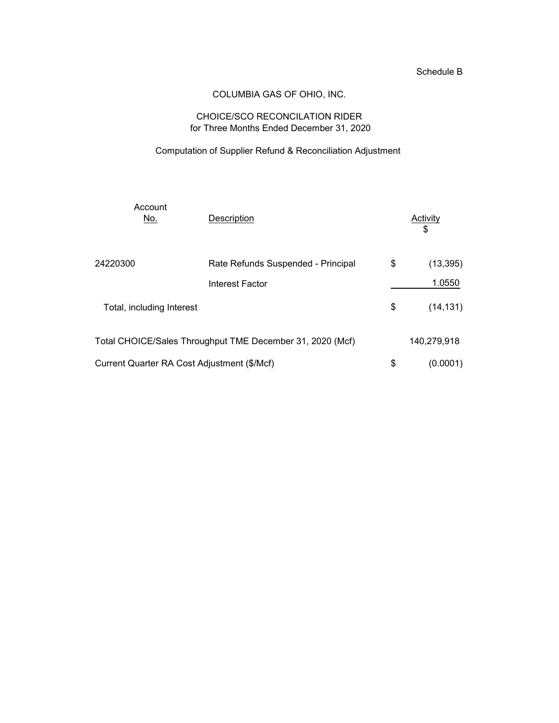## Schedule B

# COLUMBIA GAS OF OHIO, INC.

## CHOICE/SCO RECONCILATION RIDER for Three Months Ended December 31, 2020

# Computation of Supplier Refund & Reconciliation Adjustment

| Account<br>No.                              | Description                                               | Activity<br>\$  |
|---------------------------------------------|-----------------------------------------------------------|-----------------|
| 24220300                                    | Rate Refunds Suspended - Principal                        | \$<br>(13, 395) |
|                                             | <b>Interest Factor</b>                                    | 1.0550          |
| Total, including Interest                   |                                                           | \$<br>(14, 131) |
|                                             | Total CHOICE/Sales Throughput TME December 31, 2020 (Mcf) | 140,279,918     |
| Current Quarter RA Cost Adjustment (\$/Mcf) |                                                           | \$<br>(0.0001)  |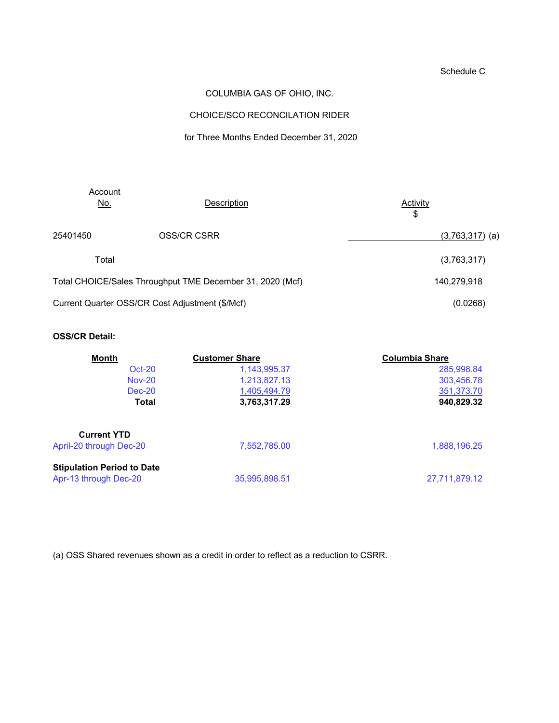# Schedule C

## COLUMBIA GAS OF OHIO, INC.

# CHOICE/SCO RECONCILATION RIDER

## for Three Months Ended December 31, 2020

| Account<br><u>No.</u>                                     | Description                                     | <b>Activity</b><br>\$ |
|-----------------------------------------------------------|-------------------------------------------------|-----------------------|
| 25401450                                                  | <b>OSS/CR CSRR</b>                              | $(3,763,317)$ (a)     |
| Total                                                     |                                                 | (3,763,317)           |
| Total CHOICE/Sales Throughput TME December 31, 2020 (Mcf) |                                                 | 140,279,918           |
|                                                           | Current Quarter OSS/CR Cost Adjustment (\$/Mcf) | (0.0268)              |

## **OSS/CR Detail:**

| <b>Month</b>                                               | <b>Customer Share</b> | <b>Columbia Share</b> |
|------------------------------------------------------------|-----------------------|-----------------------|
| $Oct-20$                                                   | 1,143,995.37          | 285,998.84            |
| <b>Nov-20</b>                                              | 1,213,827.13          | 303,456.78            |
| Dec-20                                                     | 1,405,494.79          | 351,373.70            |
| Total                                                      | 3,763,317.29          | 940,829.32            |
| <b>Current YTD</b>                                         |                       |                       |
| April-20 through Dec-20                                    | 7,552,785.00          | 1,888,196.25          |
| <b>Stipulation Period to Date</b><br>Apr-13 through Dec-20 | 35,995,898.51         | 27,711,879.12         |
|                                                            |                       |                       |

(a) OSS Shared revenues shown as a credit in order to reflect as a reduction to CSRR.